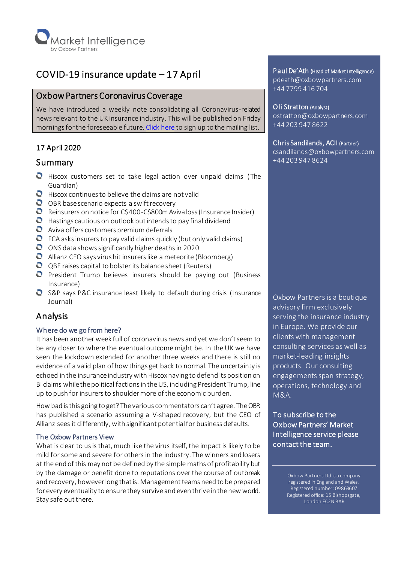

# COVID-19 insurance update – 17 April

## Oxbow Partners Coronavirus Coverage

We have introduced a weekly note consolidating all Coronavirus-related news relevant to the UK insurance industry. This will be published on Friday mornings for the foreseeable future[. Click here](https://mailchi.mp/oxbowpartners.com/coronavirusupdates) to sign up to the mailing list.

# 17 April 2020

## Summary

- **Q** Hiscox customers set to take legal action over unpaid claims (The Guardian)
- $\bullet$  Hiscox continues to believe the claims are not valid
- $\bullet$  OBR base scenario expects a swift recovery
- Reinsurers on notice for C\$400-C\$800m Aviva loss (Insurance Insider)
- $\bullet$  Hastings cautious on outlook but intends to pay final dividend
- Aviva offers customers premium deferrals
- $\bullet$  FCA asks insurers to pay valid claims quickly (but only valid claims)
- O ONS data shows significantly higher deaths in 2020
- Allianz CEO says virus hit insurers like a meteorite (Bloomberg)
- Q QBE raises capital to bolster its balance sheet (Reuters)
- **P** President Trump believes insurers should be paying out (Business Insurance)
- **O** S&P says P&C insurance least likely to default during crisis (Insurance Journal)

# Analysis

#### Where do we go from here?

It has been another week full of coronavirus news and yet we don't seem to be any closer to where the eventual outcome might be. In the UK we have seen the lockdown extended for another three weeks and there is still no evidence of a valid plan of how things get back to normal. The uncertainty is echoed in the insurance industry with Hiscox having to defend its position on BI claims while the political factions in the US, including President Trump, line up to push for insurers to shoulder more of the economic burden.

How bad is this going to get? The various commentators can't agree. The OBR has published a scenario assuming a V-shaped recovery, but the CEO of Allianz sees it differently, with significant potential for business defaults.

#### The Oxbow Partners View

What is clear to us is that, much like the virus itself, the impact is likely to be mild for some and severe for others in the industry. The winners and losers at the end of this may not be defined by the simple maths of profitability but by the damage or benefit done to reputations over the course of outbreak and recovery, however long that is. Management teams need to be prepared for every eventuality to ensure they survive and even thrive in the new world. Stay safe out there.

Paul De'Ath (Head of Market Intelligence) pdeath@oxbowpartners.com +44 7799 416 704

Oli Stratton (Analyst) ostratton@oxbowpartners.com +44 203 947 8622

#### Chris Sandilands, ACII (Partner)

csandilands@oxbowpartners.com +44 203 947 8624

Oxbow Partners is a boutique advisory firm exclusively serving the insurance industry in Europe. We provide our clients with management consulting services as well as market-leading insights products. Our consulting engagements span strategy, operations, technology and M&A.

To subscribe to the Oxbow Partners' Market Intelligence service please contact the team.

> Oxbow Partners Ltd is a company registered in England and Wales. Registered number: 09863607 Registered office: 15 Bishopsgate, London EC2N 3AR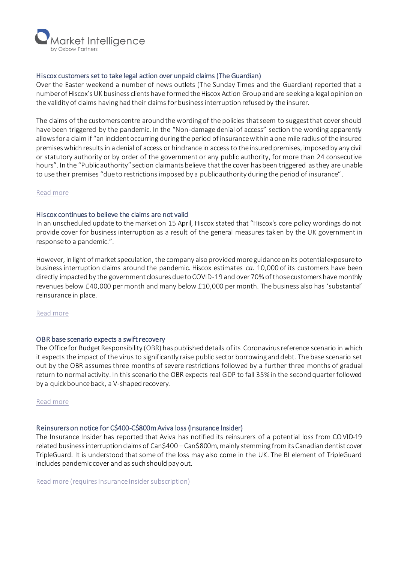

#### Hiscox customers set to take legal action over unpaid claims (The Guardian)

Over the Easter weekend a number of news outlets (The Sunday Times and the Guardian) reported that a number of Hiscox's UK business clients have formed the Hiscox Action Group and are seeking a legal opinion on the validity of claims having had their claims for business interruption refused by the insurer.

The claims of the customers centre around the wording of the policies that seem to suggest that cover should have been triggered by the pandemic. In the "Non-damage denial of access" section the wording apparently allows for a claim if "an incident occurring during the period of insurance within a one mile radius of the insured premises which results in a denial of access or hindrance in access to the insured premises, imposed by any civil or statutory authority or by order of the government or any public authority, for more than 24 consecutive hours". In the "Public authority" section claimants believe that the cover has been triggered as they are unable to use their premises "due to restrictions imposed by a public authority during the period of insurance".

#### [Read more](https://www.theguardian.com/business/2020/apr/12/uk-insurers-face-legal-action-from-small-firms-over-covid-19-claims)

#### Hiscox continues to believe the claims are not valid

In an unscheduled update to the market on 15 April, Hiscox stated that "Hiscox's core policy wordings do not provide cover for business interruption as a result of the general measures taken by the UK government in response to a pandemic.".

However, in light of market speculation, the company also provided more guidance on its potential exposure to business interruption claims around the pandemic. Hiscox estimates *ca.* 10,000 of its customers have been directly impacted by the government closures due to COVID-19 and over 70% of those customers have monthly revenues below £40,000 per month and many below £10,000 per month. The business also has 'substantial' reinsurance in place.

#### [Read more](https://otp.tools.investis.com/clients/uk/hiscox1/rns/regulatory-story.aspx?cid=258&newsid=1385968)

#### OBR base scenario expects a swift recovery

The Office for Budget Responsibility (OBR) has published details of its Coronavirus reference scenario in which it expects the impact of the virus to significantly raise public sector borrowing and debt. The base scenario set out by the OBR assumes three months of severe restrictions followed by a further three months of gradual return to normal activity. In this scenario the OBR expects real GDP to fall 35% in the second quarter followed by a quick bounce back, a V-shaped recovery.

#### [Read more](https://obr.uk/coronavirus-reference-scenario/)

#### Reinsurers on notice for C\$400-C\$800m Aviva loss (Insurance Insider)

The Insurance Insider has reported that Aviva has notified its reinsurers of a potential loss from COVID-19 related business interruption claims of Can\$400 – Can\$800m, mainly stemming from its Canadian dentist cover TripleGuard. It is understood that some of the loss may also come in the UK. The BI element of TripleGuard includes pandemic cover and as such should pay out.

[Read more \(requires Insurance Insider subscription\)](https://insuranceinsider.com/articles/132698/reinsurers-on-notice-for-c-400mn-c-800mn-aviva-loss)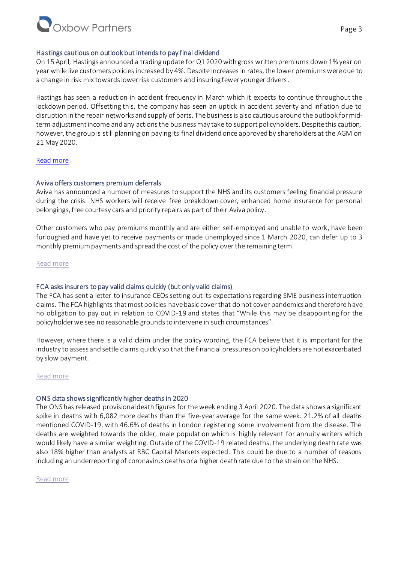

#### Hastings cautious on outlook but intends to pay final dividend

On 15 April, Hastings announced a trading update for Q1 2020 with gross written premiums down 1% year on year while live customers policies increased by 4%. Despite increases in rates, the lower premiums were due to a change in risk mix towards lower risk customers and insuring fewer younger drivers.

Hastings has seen a reduction in accident frequency in March which it expects to continue throughout the lockdown period. Offsetting this, the company has seen an uptick in accident severity and inflation due to disruption in the repair networks and supply of parts. The business is also cautious around the outlook for midterm adjustment income and any actions the business may take to support policyholders. Despite this caution, however, the group is still planning on paying its final dividend once approved by shareholders at the AGM on 21 May 2020.

#### [Read more](https://www.hastingsplc.com/investors/results-centre)

#### Aviva offers customers premium deferrals

Aviva has announced a number of measures to support the NHS and its customers feeling financial pressure during the crisis. NHS workers will receive free breakdown cover, enhanced home insurance for personal belongings, free courtesy cars and priority repairs as part of their Aviva policy.

Other customers who pay premiums monthly and are either self-employed and unable to work, have been furloughed and have yet to receive payments or made unemployed since 1 March 2020, can defer up to 3 monthly premium payments and spread the cost of the policy over the remaining term.

[Read more](https://www.aviva.com/newsroom/news-releases/2020/04/aviva-announces-donation-to-nhs-charities-together-as-part-of-package-of-covid-19-support/)

#### FCA asks insurers to pay valid claims quickly (but only valid claims)

The FCA has sent a letter to insurance CEOs setting out its expectations regarding SME business interruption claims. The FCA highlights that most policies have basic cover that do not cover pandemics and therefore have no obligation to pay out in relation to COVID-19 and states that "While this may be disappointing for the policyholder we see no reasonable grounds to intervene in such circumstances".

However, where there is a valid claim under the policy wording, the FCA believe that it is important for the industry to assess and settle claims quickly so that the financial pressures on policyholders are not exacerbated by slow payment.

[Read more](https://www.fca.org.uk/publication/correspondence/dear-ceo-insuring-sme-business-interruption-coronavirus.pdf)

#### ONS data shows significantly higher deaths in 2020

The ONS has released provisional death figures for the week ending 3 April 2020. The data shows a significant spike in deaths with 6,082 more deaths than the five-year average for the same week. 21.2% of all deaths mentioned COVID-19, with 46.6% of deaths in London registering some involvement from the disease. The deaths are weighted towards the older, male population which is highly relevant for annuity writers which would likely have a similar weighting. Outside of the COVID-19 related deaths, the underlying death rate was also 18% higher than analysts at RBC Capital Markets expected. This could be due to a number of reasons including an underreporting of coronavirus deaths or a higher death rate due to the strain on the NHS.

#### [Read more](https://www.ons.gov.uk/peoplepopulationandcommunity/birthsdeathsandmarriages/deaths/bulletins/deathsregisteredweeklyinenglandandwalesprovisional/weekending3april2020)